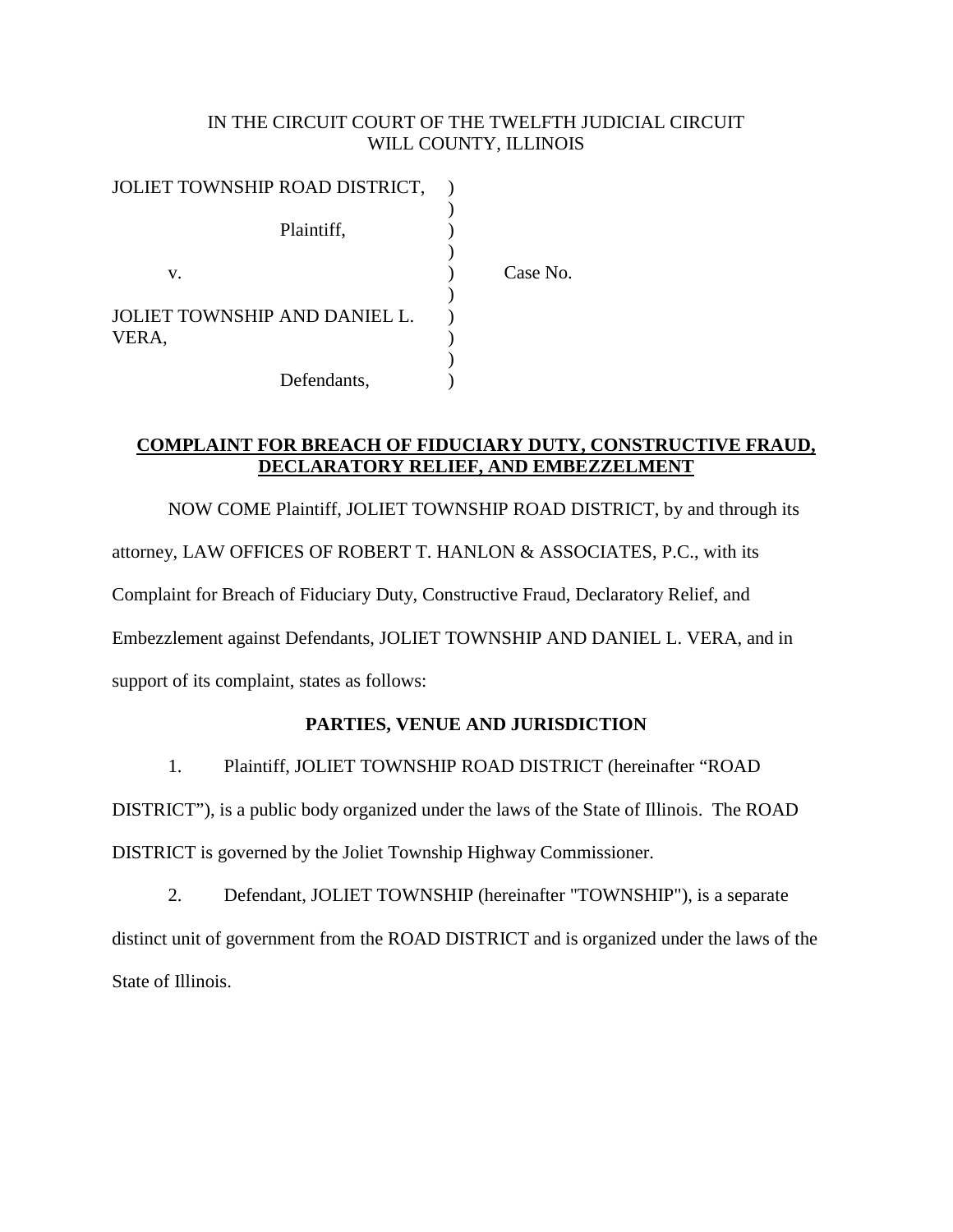## IN THE CIRCUIT COURT OF THE TWELFTH JUDICIAL CIRCUIT WILL COUNTY, ILLINOIS

| JOLIET TOWNSHIP ROAD DISTRICT, |          |
|--------------------------------|----------|
|                                |          |
| Plaintiff,                     |          |
|                                |          |
| V.                             | Case No. |
|                                |          |
| JOLIET TOWNSHIP AND DANIEL L.  |          |
| VERA,                          |          |
|                                |          |
| Defendants,                    |          |

## **COMPLAINT FOR BREACH OF FIDUCIARY DUTY, CONSTRUCTIVE FRAUD, DECLARATORY RELIEF, AND EMBEZZELMENT**

NOW COME Plaintiff, JOLIET TOWNSHIP ROAD DISTRICT, by and through its attorney, LAW OFFICES OF ROBERT T. HANLON & ASSOCIATES, P.C., with its Complaint for Breach of Fiduciary Duty, Constructive Fraud, Declaratory Relief, and Embezzlement against Defendants, JOLIET TOWNSHIP AND DANIEL L. VERA, and in support of its complaint, states as follows:

## **PARTIES, VENUE AND JURISDICTION**

1. Plaintiff, JOLIET TOWNSHIP ROAD DISTRICT (hereinafter "ROAD DISTRICT"), is a public body organized under the laws of the State of Illinois. The ROAD DISTRICT is governed by the Joliet Township Highway Commissioner.

2. Defendant, JOLIET TOWNSHIP (hereinafter "TOWNSHIP"), is a separate distinct unit of government from the ROAD DISTRICT and is organized under the laws of the State of Illinois.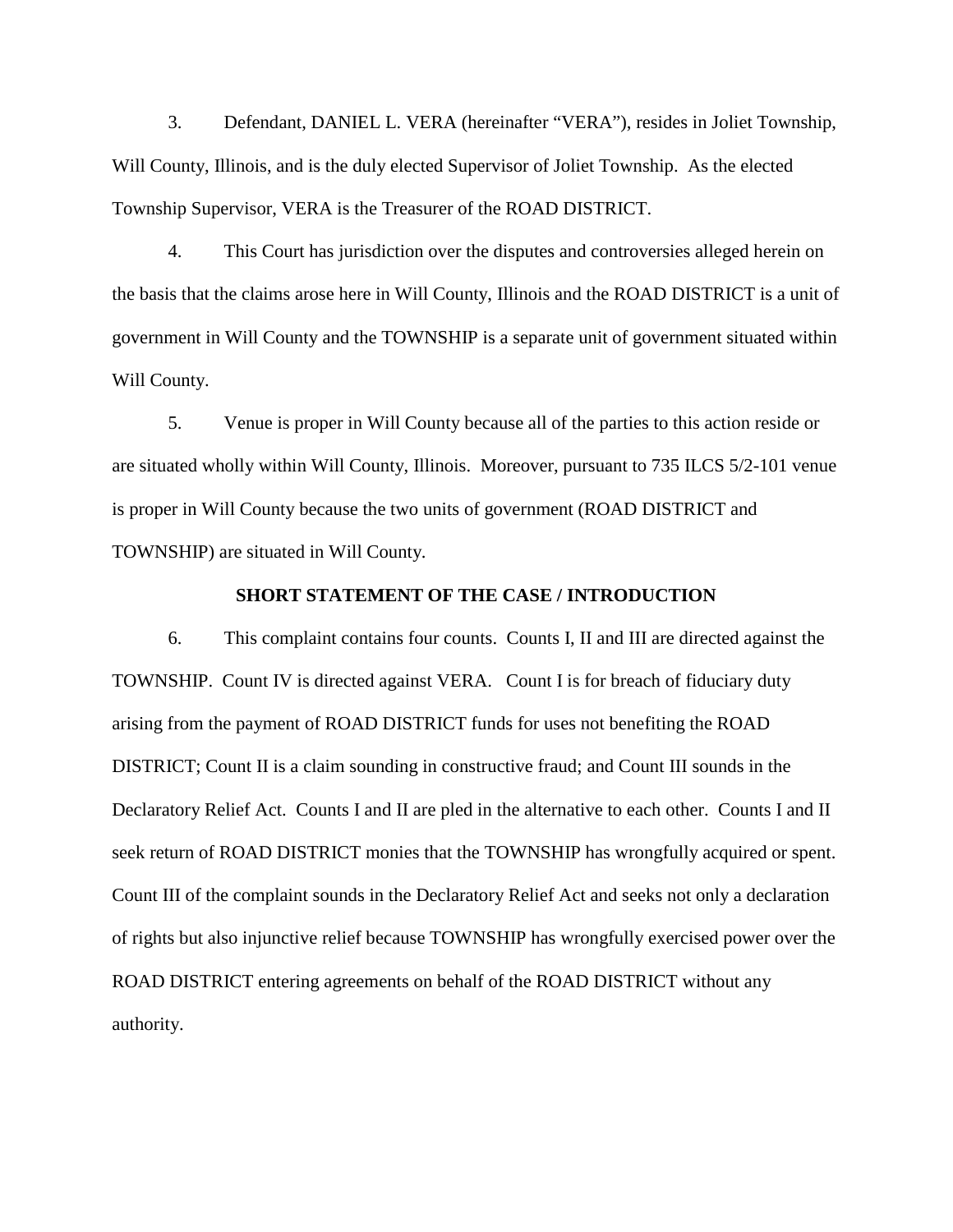3. Defendant, DANIEL L. VERA (hereinafter "VERA"), resides in Joliet Township, Will County, Illinois, and is the duly elected Supervisor of Joliet Township. As the elected Township Supervisor, VERA is the Treasurer of the ROAD DISTRICT.

4. This Court has jurisdiction over the disputes and controversies alleged herein on the basis that the claims arose here in Will County, Illinois and the ROAD DISTRICT is a unit of government in Will County and the TOWNSHIP is a separate unit of government situated within Will County.

5. Venue is proper in Will County because all of the parties to this action reside or are situated wholly within Will County, Illinois. Moreover, pursuant to 735 ILCS 5/2-101 venue is proper in Will County because the two units of government (ROAD DISTRICT and TOWNSHIP) are situated in Will County.

#### **SHORT STATEMENT OF THE CASE / INTRODUCTION**

6. This complaint contains four counts. Counts I, II and III are directed against the TOWNSHIP. Count IV is directed against VERA. Count I is for breach of fiduciary duty arising from the payment of ROAD DISTRICT funds for uses not benefiting the ROAD DISTRICT; Count II is a claim sounding in constructive fraud; and Count III sounds in the Declaratory Relief Act. Counts I and II are pled in the alternative to each other. Counts I and II seek return of ROAD DISTRICT monies that the TOWNSHIP has wrongfully acquired or spent. Count III of the complaint sounds in the Declaratory Relief Act and seeks not only a declaration of rights but also injunctive relief because TOWNSHIP has wrongfully exercised power over the ROAD DISTRICT entering agreements on behalf of the ROAD DISTRICT without any authority.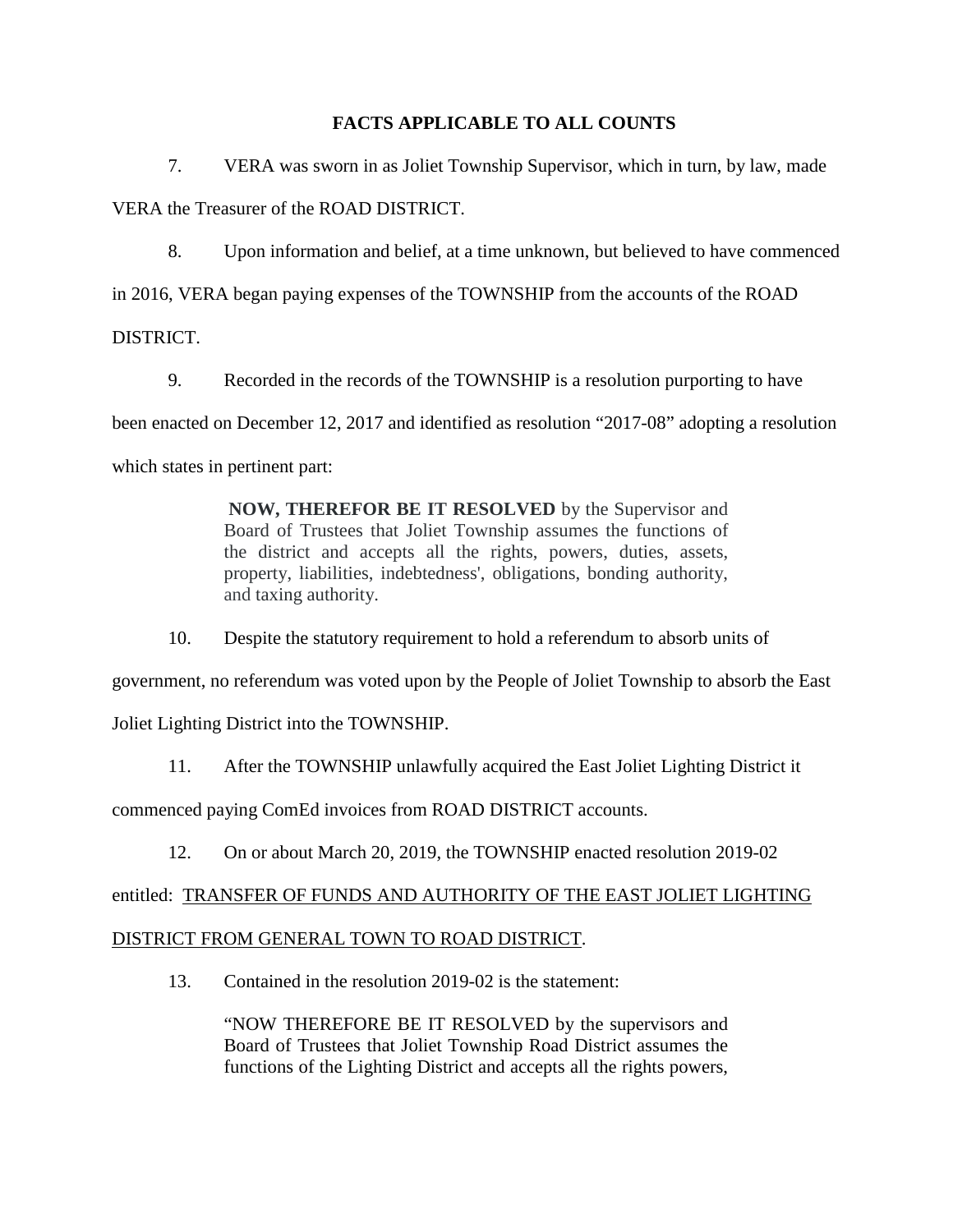## **FACTS APPLICABLE TO ALL COUNTS**

7. VERA was sworn in as Joliet Township Supervisor, which in turn, by law, made VERA the Treasurer of the ROAD DISTRICT.

8. Upon information and belief, at a time unknown, but believed to have commenced

in 2016, VERA began paying expenses of the TOWNSHIP from the accounts of the ROAD

# DISTRICT.

9. Recorded in the records of the TOWNSHIP is a resolution purporting to have been enacted on December 12, 2017 and identified as resolution "2017-08" adopting a resolution which states in pertinent part:

> **NOW, THEREFOR BE IT RESOLVED** by the Supervisor and Board of Trustees that Joliet Township assumes the functions of the district and accepts all the rights, powers, duties, assets, property, liabilities, indebtedness', obligations, bonding authority, and taxing authority.

10. Despite the statutory requirement to hold a referendum to absorb units of

government, no referendum was voted upon by the People of Joliet Township to absorb the East

Joliet Lighting District into the TOWNSHIP.

11. After the TOWNSHIP unlawfully acquired the East Joliet Lighting District it

commenced paying ComEd invoices from ROAD DISTRICT accounts.

12. On or about March 20, 2019, the TOWNSHIP enacted resolution 2019-02

entitled: TRANSFER OF FUNDS AND AUTHORITY OF THE EAST JOLIET LIGHTING

# DISTRICT FROM GENERAL TOWN TO ROAD DISTRICT.

13. Contained in the resolution 2019-02 is the statement:

"NOW THEREFORE BE IT RESOLVED by the supervisors and Board of Trustees that Joliet Township Road District assumes the functions of the Lighting District and accepts all the rights powers,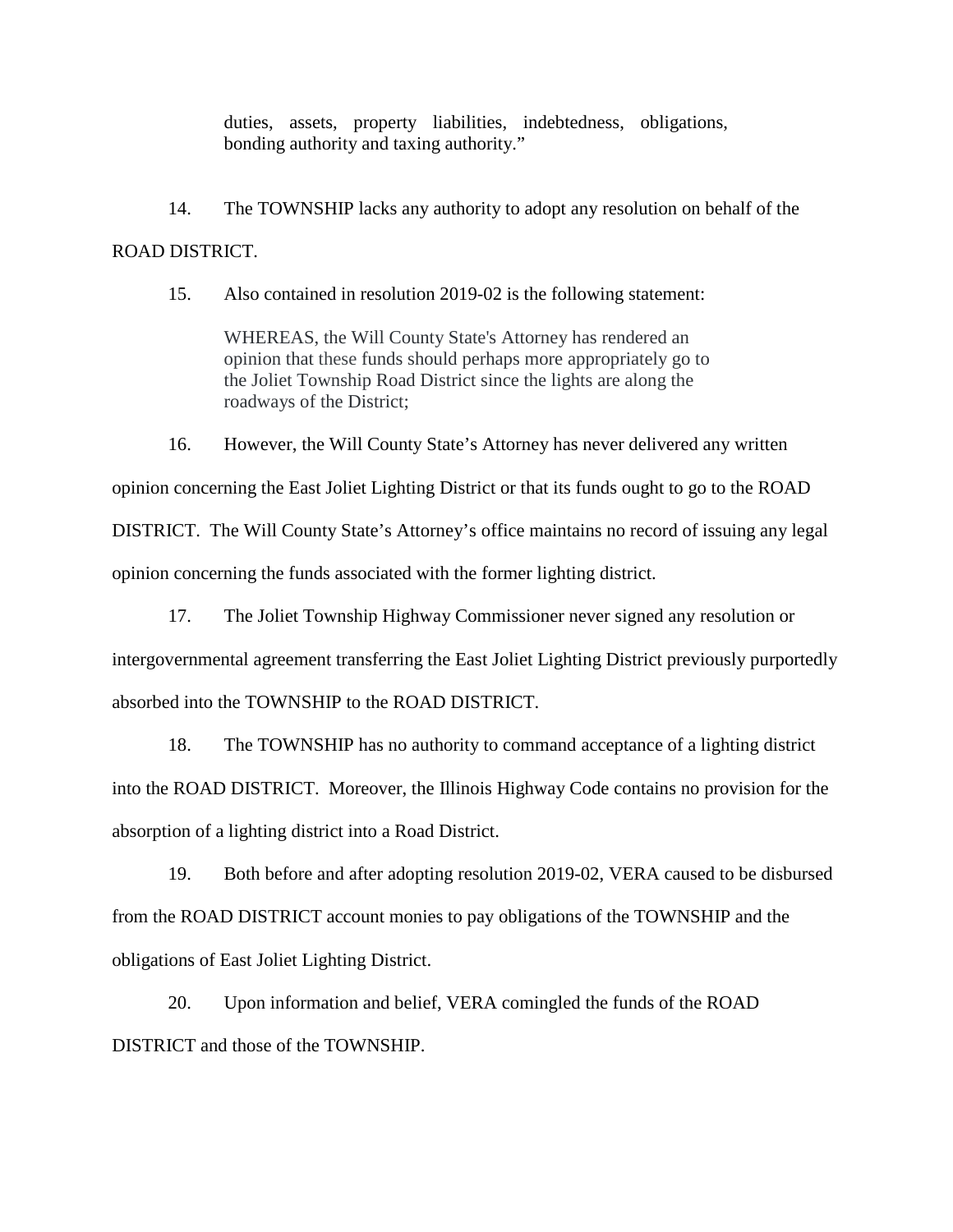duties, assets, property liabilities, indebtedness, obligations, bonding authority and taxing authority."

14. The TOWNSHIP lacks any authority to adopt any resolution on behalf of the ROAD DISTRICT.

15. Also contained in resolution 2019-02 is the following statement:

WHEREAS, the Will County State's Attorney has rendered an opinion that these funds should perhaps more appropriately go to the Joliet Township Road District since the lights are along the roadways of the District;

16. However, the Will County State's Attorney has never delivered any written opinion concerning the East Joliet Lighting District or that its funds ought to go to the ROAD DISTRICT. The Will County State's Attorney's office maintains no record of issuing any legal opinion concerning the funds associated with the former lighting district.

17. The Joliet Township Highway Commissioner never signed any resolution or intergovernmental agreement transferring the East Joliet Lighting District previously purportedly absorbed into the TOWNSHIP to the ROAD DISTRICT.

18. The TOWNSHIP has no authority to command acceptance of a lighting district into the ROAD DISTRICT. Moreover, the Illinois Highway Code contains no provision for the absorption of a lighting district into a Road District.

19. Both before and after adopting resolution 2019-02, VERA caused to be disbursed from the ROAD DISTRICT account monies to pay obligations of the TOWNSHIP and the obligations of East Joliet Lighting District.

20. Upon information and belief, VERA comingled the funds of the ROAD DISTRICT and those of the TOWNSHIP.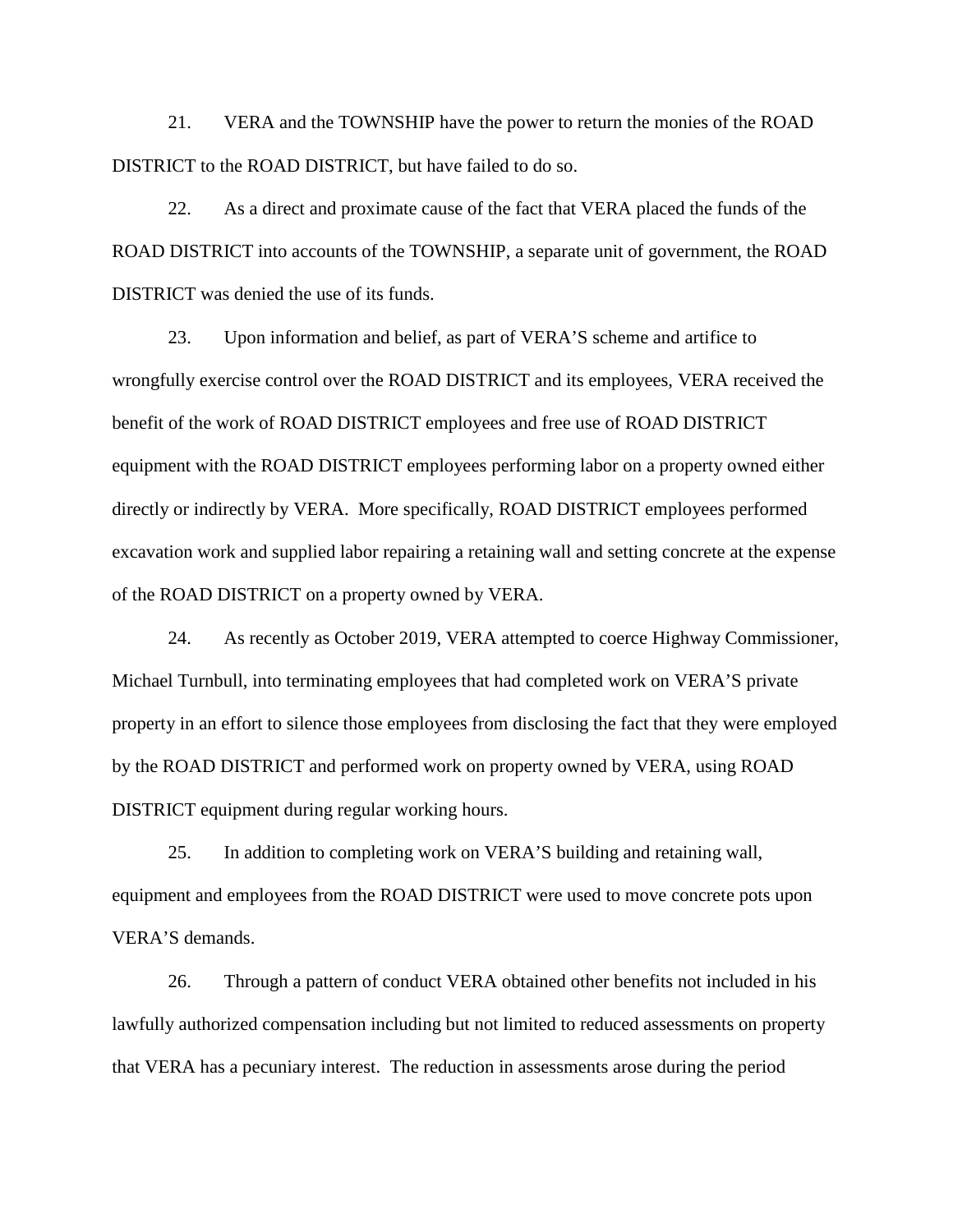21. VERA and the TOWNSHIP have the power to return the monies of the ROAD DISTRICT to the ROAD DISTRICT, but have failed to do so.

22. As a direct and proximate cause of the fact that VERA placed the funds of the ROAD DISTRICT into accounts of the TOWNSHIP, a separate unit of government, the ROAD DISTRICT was denied the use of its funds.

23. Upon information and belief, as part of VERA'S scheme and artifice to wrongfully exercise control over the ROAD DISTRICT and its employees, VERA received the benefit of the work of ROAD DISTRICT employees and free use of ROAD DISTRICT equipment with the ROAD DISTRICT employees performing labor on a property owned either directly or indirectly by VERA. More specifically, ROAD DISTRICT employees performed excavation work and supplied labor repairing a retaining wall and setting concrete at the expense of the ROAD DISTRICT on a property owned by VERA.

24. As recently as October 2019, VERA attempted to coerce Highway Commissioner, Michael Turnbull, into terminating employees that had completed work on VERA'S private property in an effort to silence those employees from disclosing the fact that they were employed by the ROAD DISTRICT and performed work on property owned by VERA, using ROAD DISTRICT equipment during regular working hours.

25. In addition to completing work on VERA'S building and retaining wall, equipment and employees from the ROAD DISTRICT were used to move concrete pots upon VERA'S demands.

26. Through a pattern of conduct VERA obtained other benefits not included in his lawfully authorized compensation including but not limited to reduced assessments on property that VERA has a pecuniary interest. The reduction in assessments arose during the period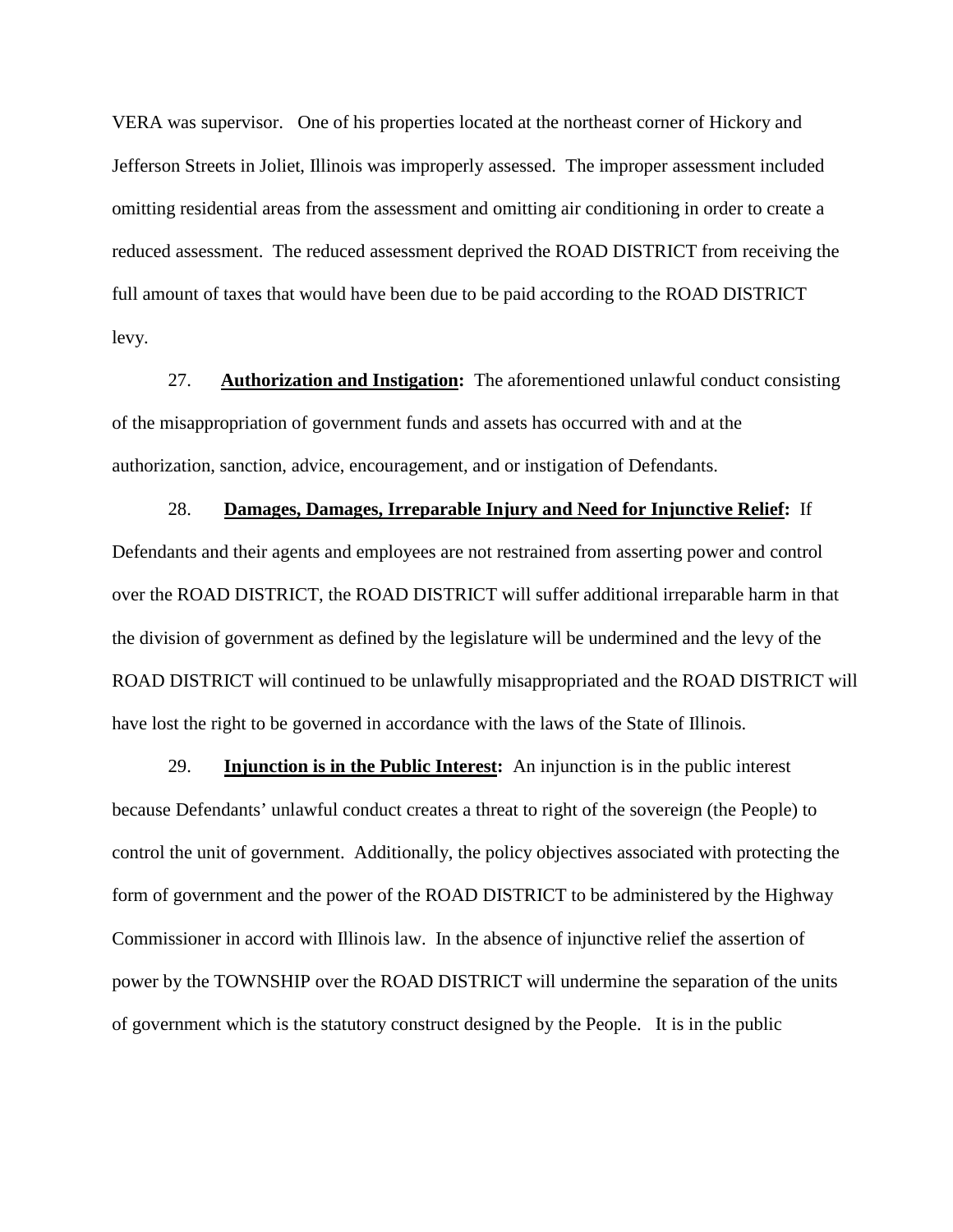VERA was supervisor. One of his properties located at the northeast corner of Hickory and Jefferson Streets in Joliet, Illinois was improperly assessed. The improper assessment included omitting residential areas from the assessment and omitting air conditioning in order to create a reduced assessment. The reduced assessment deprived the ROAD DISTRICT from receiving the full amount of taxes that would have been due to be paid according to the ROAD DISTRICT levy.

27. **Authorization and Instigation:** The aforementioned unlawful conduct consisting of the misappropriation of government funds and assets has occurred with and at the authorization, sanction, advice, encouragement, and or instigation of Defendants.

28. **Damages, Damages, Irreparable Injury and Need for Injunctive Relief:** If Defendants and their agents and employees are not restrained from asserting power and control over the ROAD DISTRICT, the ROAD DISTRICT will suffer additional irreparable harm in that the division of government as defined by the legislature will be undermined and the levy of the ROAD DISTRICT will continued to be unlawfully misappropriated and the ROAD DISTRICT will have lost the right to be governed in accordance with the laws of the State of Illinois.

29. **Injunction is in the Public Interest:** An injunction is in the public interest because Defendants' unlawful conduct creates a threat to right of the sovereign (the People) to control the unit of government. Additionally, the policy objectives associated with protecting the form of government and the power of the ROAD DISTRICT to be administered by the Highway Commissioner in accord with Illinois law. In the absence of injunctive relief the assertion of power by the TOWNSHIP over the ROAD DISTRICT will undermine the separation of the units of government which is the statutory construct designed by the People. It is in the public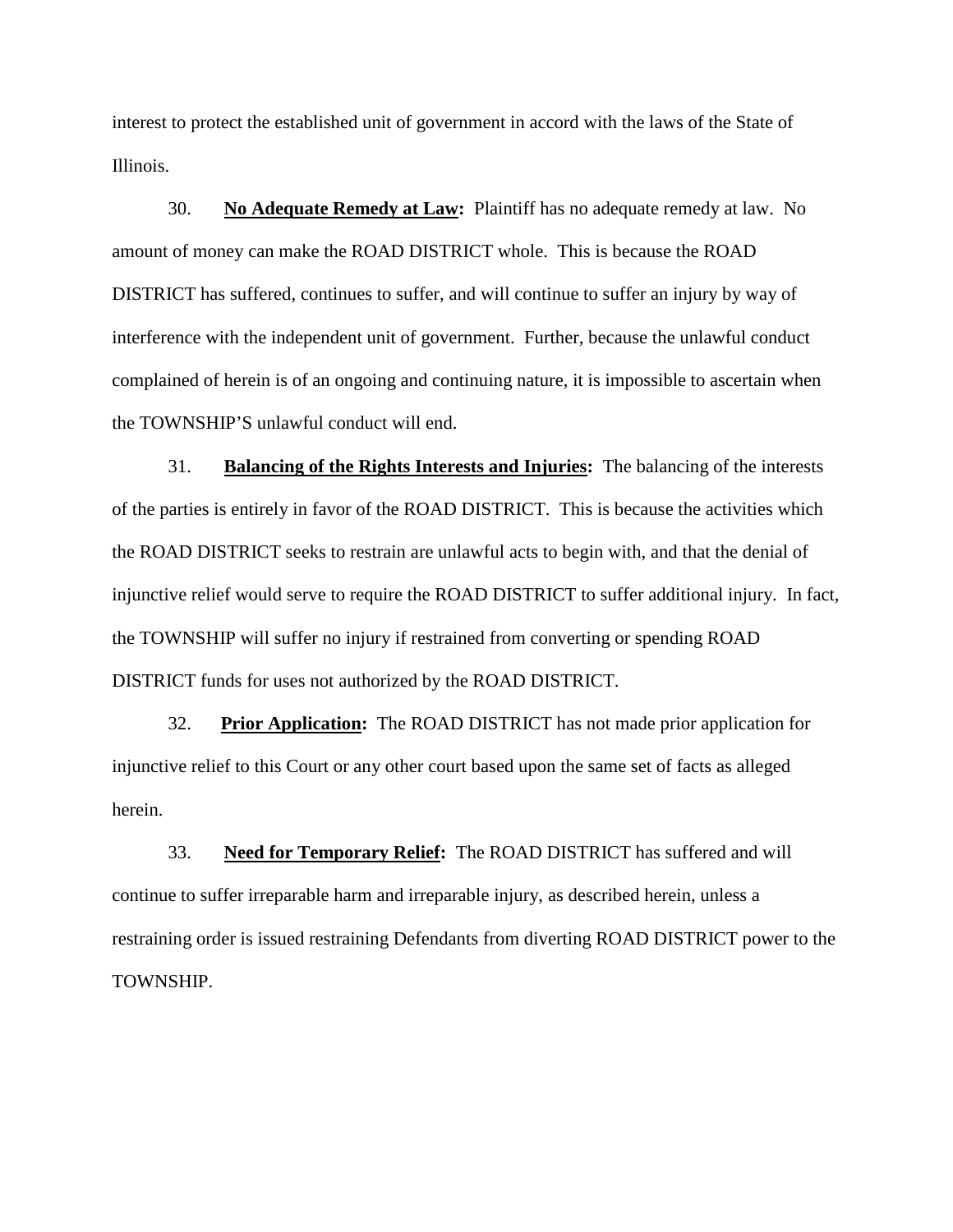interest to protect the established unit of government in accord with the laws of the State of Illinois.

30. **No Adequate Remedy at Law:** Plaintiff has no adequate remedy at law. No amount of money can make the ROAD DISTRICT whole. This is because the ROAD DISTRICT has suffered, continues to suffer, and will continue to suffer an injury by way of interference with the independent unit of government. Further, because the unlawful conduct complained of herein is of an ongoing and continuing nature, it is impossible to ascertain when the TOWNSHIP'S unlawful conduct will end.

31. **Balancing of the Rights Interests and Injuries:** The balancing of the interests of the parties is entirely in favor of the ROAD DISTRICT. This is because the activities which the ROAD DISTRICT seeks to restrain are unlawful acts to begin with, and that the denial of injunctive relief would serve to require the ROAD DISTRICT to suffer additional injury. In fact, the TOWNSHIP will suffer no injury if restrained from converting or spending ROAD DISTRICT funds for uses not authorized by the ROAD DISTRICT.

32. **Prior Application:** The ROAD DISTRICT has not made prior application for injunctive relief to this Court or any other court based upon the same set of facts as alleged herein.

33. **Need for Temporary Relief:** The ROAD DISTRICT has suffered and will continue to suffer irreparable harm and irreparable injury, as described herein, unless a restraining order is issued restraining Defendants from diverting ROAD DISTRICT power to the TOWNSHIP.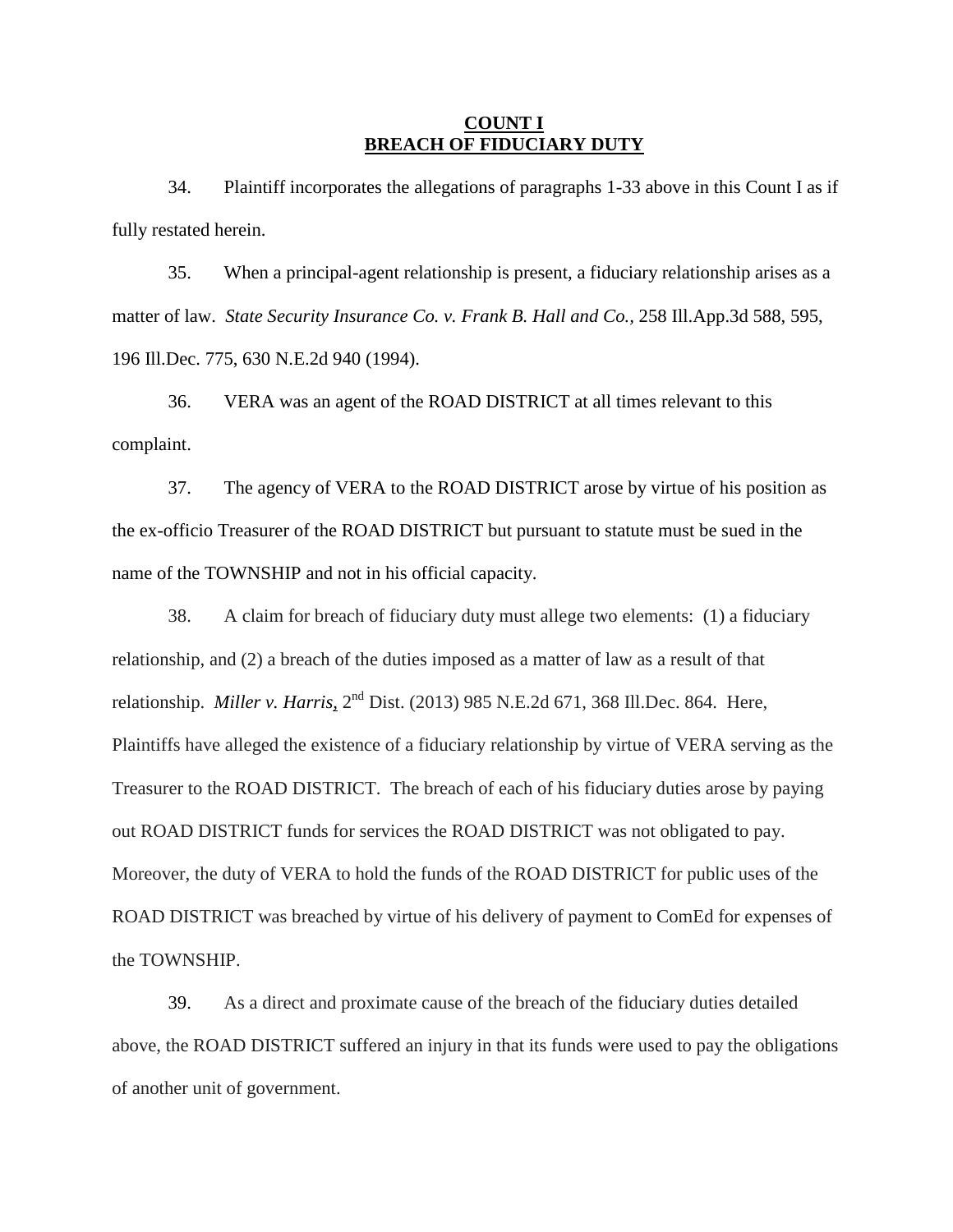#### **COUNT I BREACH OF FIDUCIARY DUTY**

34. Plaintiff incorporates the allegations of paragraphs 1-33 above in this Count I as if fully restated herein.

35. When a principal-agent relationship is present, a fiduciary relationship arises as a matter of law. *[State Security Insurance Co. v. Frank B. Hall and Co.,](https://1.next.westlaw.com/Link/Document/FullText?findType=Y&serNum=1994042373&pubNum=0000578&originatingDoc=Ie4eadb2cd3ad11d98ac8f235252e36df&refType=RP&originationContext=document&transitionType=DocumentItem&contextData=(sc.DocLink))* 258 Ill.App.3d 588, 595, [196 Ill.Dec. 775, 630 N.E.2d 940 \(1994\).](https://1.next.westlaw.com/Link/Document/FullText?findType=Y&serNum=1994042373&pubNum=0000578&originatingDoc=Ie4eadb2cd3ad11d98ac8f235252e36df&refType=RP&originationContext=document&transitionType=DocumentItem&contextData=(sc.DocLink))

36. VERA was an agent of the ROAD DISTRICT at all times relevant to this complaint.

37. The agency of VERA to the ROAD DISTRICT arose by virtue of his position as the ex-officio Treasurer of the ROAD DISTRICT but pursuant to statute must be sued in the name of the TOWNSHIP and not in his official capacity.

38. A claim for breach of fiduciary duty must allege two elements: (1) a fiduciary relationship, and (2) a breach of the duties imposed as a matter of law as a result of that relationship. *[Miller v. Harris,](https://1.next.westlaw.com/Document/Ib50b79837c6711e28a21ccb9036b2470/View/FullText.html?listSource=Search&navigationPath=Search%2fv1%2fresults%2fnavigation%2fi0ad604ac0000016347521d17df867eb8%3fNav%3dCASE%26fragmentIdentifier%3dIb50b79837c6711e28a21ccb9036b2470%26startIndex%3d1%26contextData%3d%2528sc.Search%2529%26transitionType%3dSearchItem&list=CASE&rank=2&listPageSource=6ce352e33249c6c58bdfcf8893df1ddf&originationContext=docHeader&contextData=(sc.Search)&transitionType=Document&needToInjectTerms=False&enableBestPortion=True&docSource=2b8bfaea32d847a696917c84a293ac4f)* 2nd Dist. (2013) 985 N.E.2d 671, 368 Ill.Dec. 864. Here, Plaintiffs have alleged the existence of a fiduciary relationship by virtue of VERA serving as the Treasurer to the ROAD DISTRICT. The breach of each of his fiduciary duties arose by paying out ROAD DISTRICT funds for services the ROAD DISTRICT was not obligated to pay. Moreover, the duty of VERA to hold the funds of the ROAD DISTRICT for public uses of the ROAD DISTRICT was breached by virtue of his delivery of payment to ComEd for expenses of the TOWNSHIP.

39. As a direct and proximate cause of the breach of the fiduciary duties detailed above, the ROAD DISTRICT suffered an injury in that its funds were used to pay the obligations of another unit of government.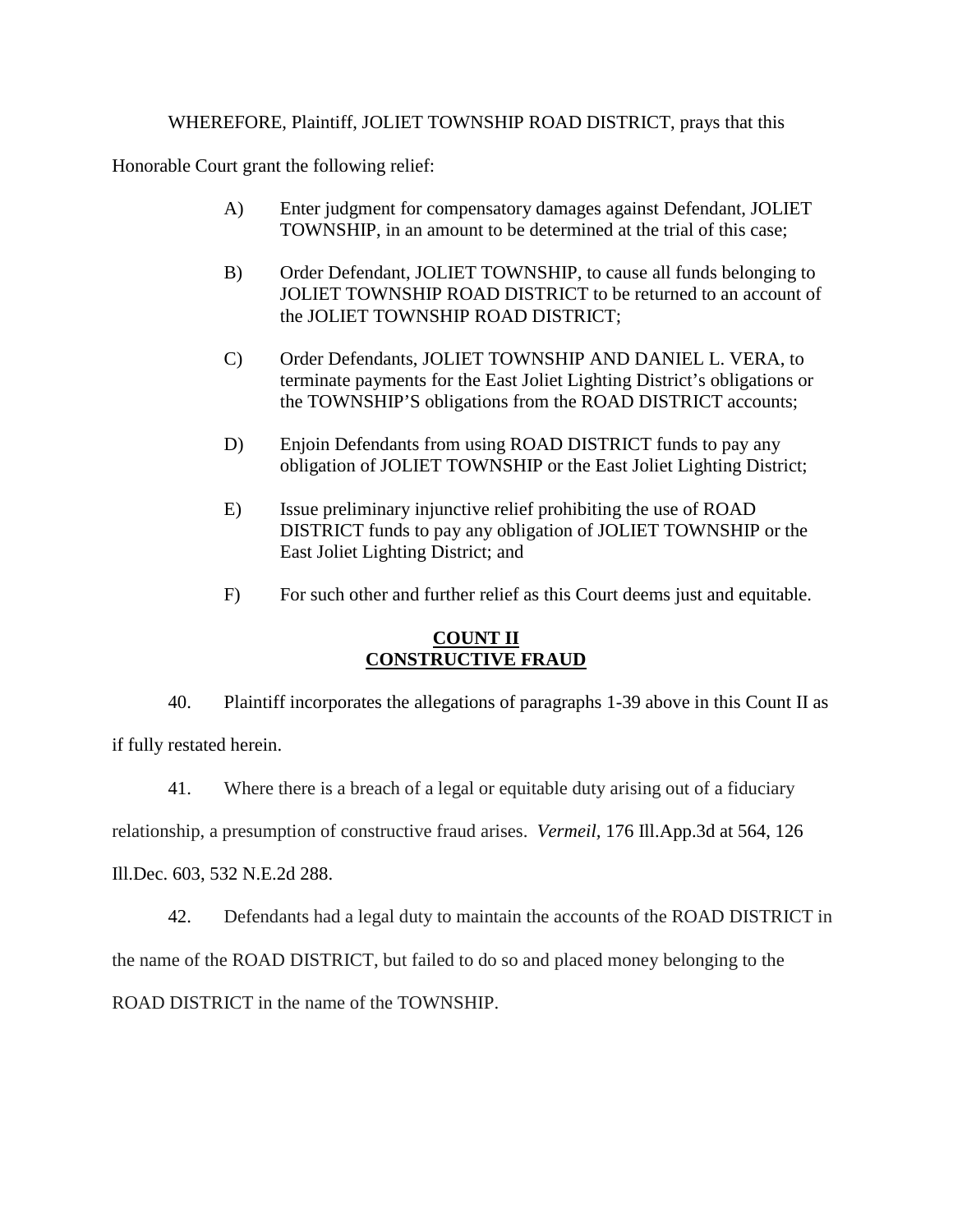#### WHEREFORE, Plaintiff, JOLIET TOWNSHIP ROAD DISTRICT, prays that this

Honorable Court grant the following relief:

- A) Enter judgment for compensatory damages against Defendant, JOLIET TOWNSHIP, in an amount to be determined at the trial of this case;
- B) Order Defendant, JOLIET TOWNSHIP, to cause all funds belonging to JOLIET TOWNSHIP ROAD DISTRICT to be returned to an account of the JOLIET TOWNSHIP ROAD DISTRICT;
- C) Order Defendants, JOLIET TOWNSHIP AND DANIEL L. VERA, to terminate payments for the East Joliet Lighting District's obligations or the TOWNSHIP'S obligations from the ROAD DISTRICT accounts;
- D) Enjoin Defendants from using ROAD DISTRICT funds to pay any obligation of JOLIET TOWNSHIP or the East Joliet Lighting District;
- E) Issue preliminary injunctive relief prohibiting the use of ROAD DISTRICT funds to pay any obligation of JOLIET TOWNSHIP or the East Joliet Lighting District; and
- F) For such other and further relief as this Court deems just and equitable.

## **COUNT II CONSTRUCTIVE FRAUD**

40. Plaintiff incorporates the allegations of paragraphs 1-39 above in this Count II as if fully restated herein.

41. Where there is a breach of a legal or equitable duty arising out of a fiduciary

relationship, a presumption of constructive fraud arises. *Vermeil,* [176 Ill.App.3d at 564, 126](https://1.next.westlaw.com/Link/Document/FullText?findType=Y&serNum=1989008539&pubNum=0000578&originatingDoc=I1afeffbbd3b911d9bf60c1d57ebc853e&refType=RP&originationContext=document&transitionType=DocumentItem&contextData=(sc.Search)) 

[Ill.Dec. 603, 532 N.E.2d 288.](https://1.next.westlaw.com/Link/Document/FullText?findType=Y&serNum=1989008539&pubNum=0000578&originatingDoc=I1afeffbbd3b911d9bf60c1d57ebc853e&refType=RP&originationContext=document&transitionType=DocumentItem&contextData=(sc.Search))

42. Defendants had a legal duty to maintain the accounts of the ROAD DISTRICT in

the name of the ROAD DISTRICT, but failed to do so and placed money belonging to the

ROAD DISTRICT in the name of the TOWNSHIP.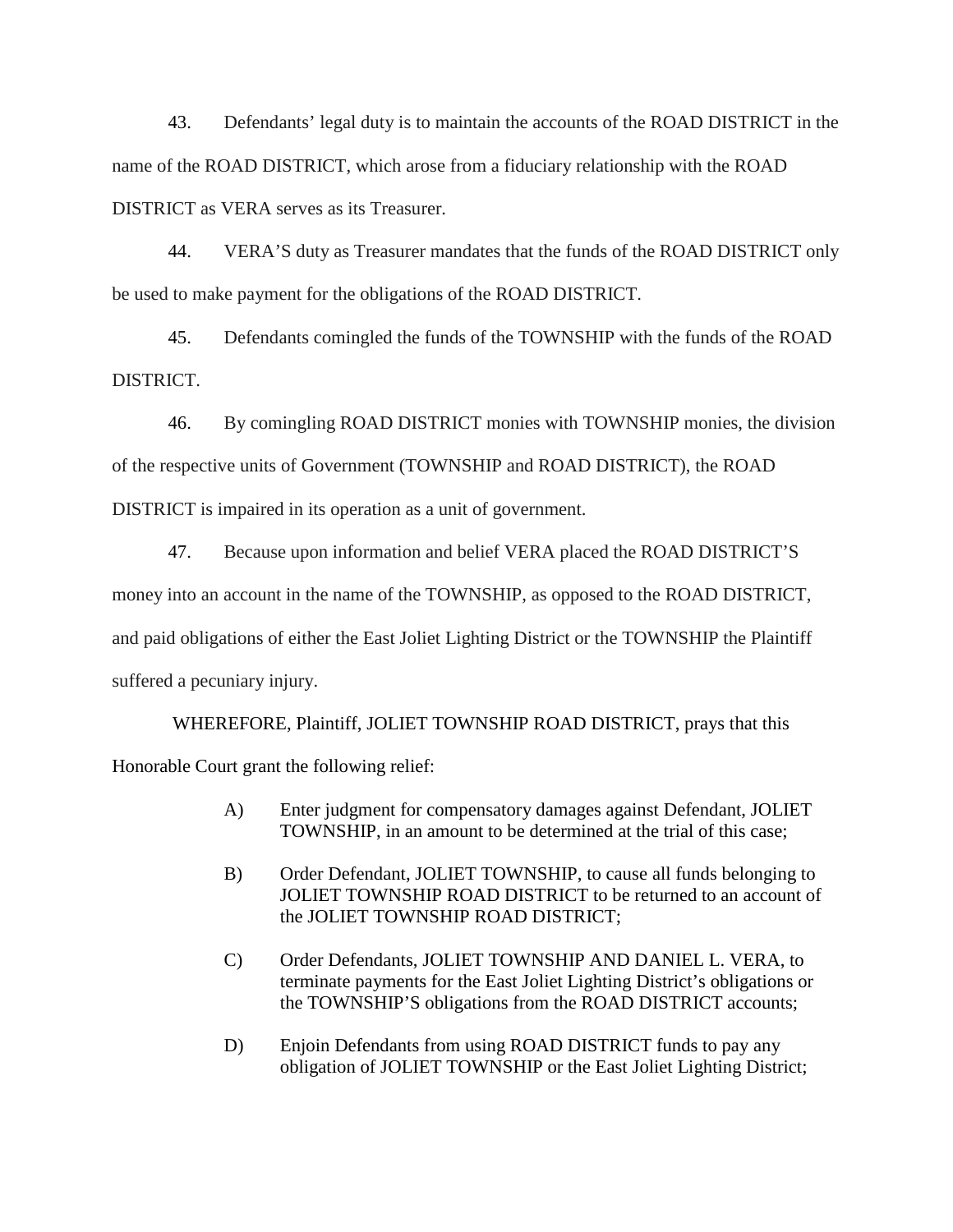43. Defendants' legal duty is to maintain the accounts of the ROAD DISTRICT in the name of the ROAD DISTRICT, which arose from a fiduciary relationship with the ROAD DISTRICT as VERA serves as its Treasurer.

44. VERA'S duty as Treasurer mandates that the funds of the ROAD DISTRICT only be used to make payment for the obligations of the ROAD DISTRICT.

45. Defendants comingled the funds of the TOWNSHIP with the funds of the ROAD DISTRICT.

46. By comingling ROAD DISTRICT monies with TOWNSHIP monies, the division of the respective units of Government (TOWNSHIP and ROAD DISTRICT), the ROAD DISTRICT is impaired in its operation as a unit of government.

47. Because upon information and belief VERA placed the ROAD DISTRICT'S money into an account in the name of the TOWNSHIP, as opposed to the ROAD DISTRICT, and paid obligations of either the East Joliet Lighting District or the TOWNSHIP the Plaintiff suffered a pecuniary injury.

WHEREFORE, Plaintiff, JOLIET TOWNSHIP ROAD DISTRICT, prays that this Honorable Court grant the following relief:

- A) Enter judgment for compensatory damages against Defendant, JOLIET TOWNSHIP, in an amount to be determined at the trial of this case;
- B) Order Defendant, JOLIET TOWNSHIP, to cause all funds belonging to JOLIET TOWNSHIP ROAD DISTRICT to be returned to an account of the JOLIET TOWNSHIP ROAD DISTRICT;
- C) Order Defendants, JOLIET TOWNSHIP AND DANIEL L. VERA, to terminate payments for the East Joliet Lighting District's obligations or the TOWNSHIP'S obligations from the ROAD DISTRICT accounts;
- D) Enjoin Defendants from using ROAD DISTRICT funds to pay any obligation of JOLIET TOWNSHIP or the East Joliet Lighting District;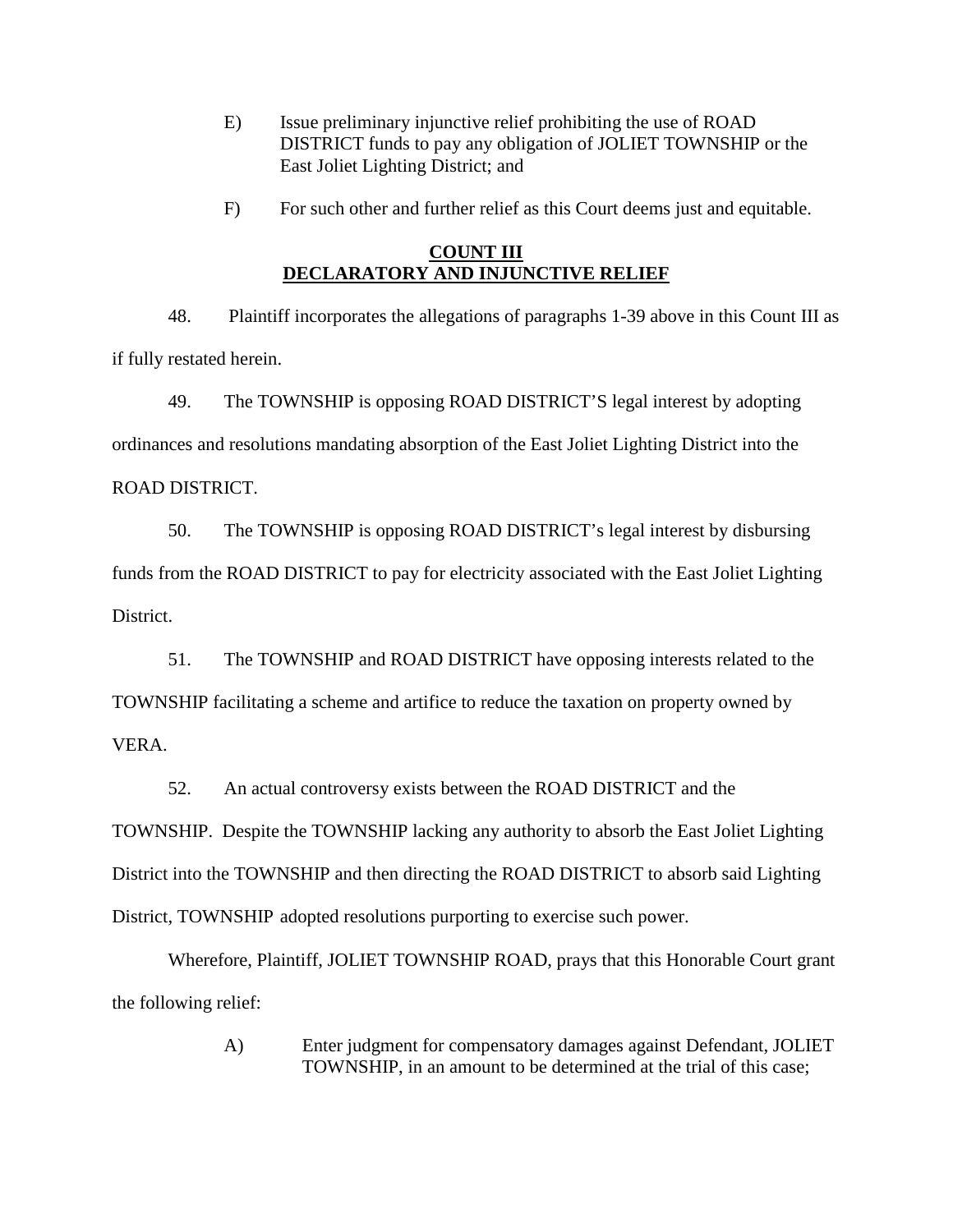- E) Issue preliminary injunctive relief prohibiting the use of ROAD DISTRICT funds to pay any obligation of JOLIET TOWNSHIP or the East Joliet Lighting District; and
- F) For such other and further relief as this Court deems just and equitable.

# **COUNT III DECLARATORY AND INJUNCTIVE RELIEF**

48. Plaintiff incorporates the allegations of paragraphs 1-39 above in this Count III as if fully restated herein.

49. The TOWNSHIP is opposing ROAD DISTRICT'S legal interest by adopting ordinances and resolutions mandating absorption of the East Joliet Lighting District into the

## ROAD DISTRICT.

50. The TOWNSHIP is opposing ROAD DISTRICT's legal interest by disbursing funds from the ROAD DISTRICT to pay for electricity associated with the East Joliet Lighting District.

51. The TOWNSHIP and ROAD DISTRICT have opposing interests related to the TOWNSHIP facilitating a scheme and artifice to reduce the taxation on property owned by VERA.

52. An actual controversy exists between the ROAD DISTRICT and the TOWNSHIP. Despite the TOWNSHIP lacking any authority to absorb the East Joliet Lighting District into the TOWNSHIP and then directing the ROAD DISTRICT to absorb said Lighting District, TOWNSHIP adopted resolutions purporting to exercise such power.

Wherefore, Plaintiff, JOLIET TOWNSHIP ROAD, prays that this Honorable Court grant the following relief:

> A) Enter judgment for compensatory damages against Defendant, JOLIET TOWNSHIP, in an amount to be determined at the trial of this case;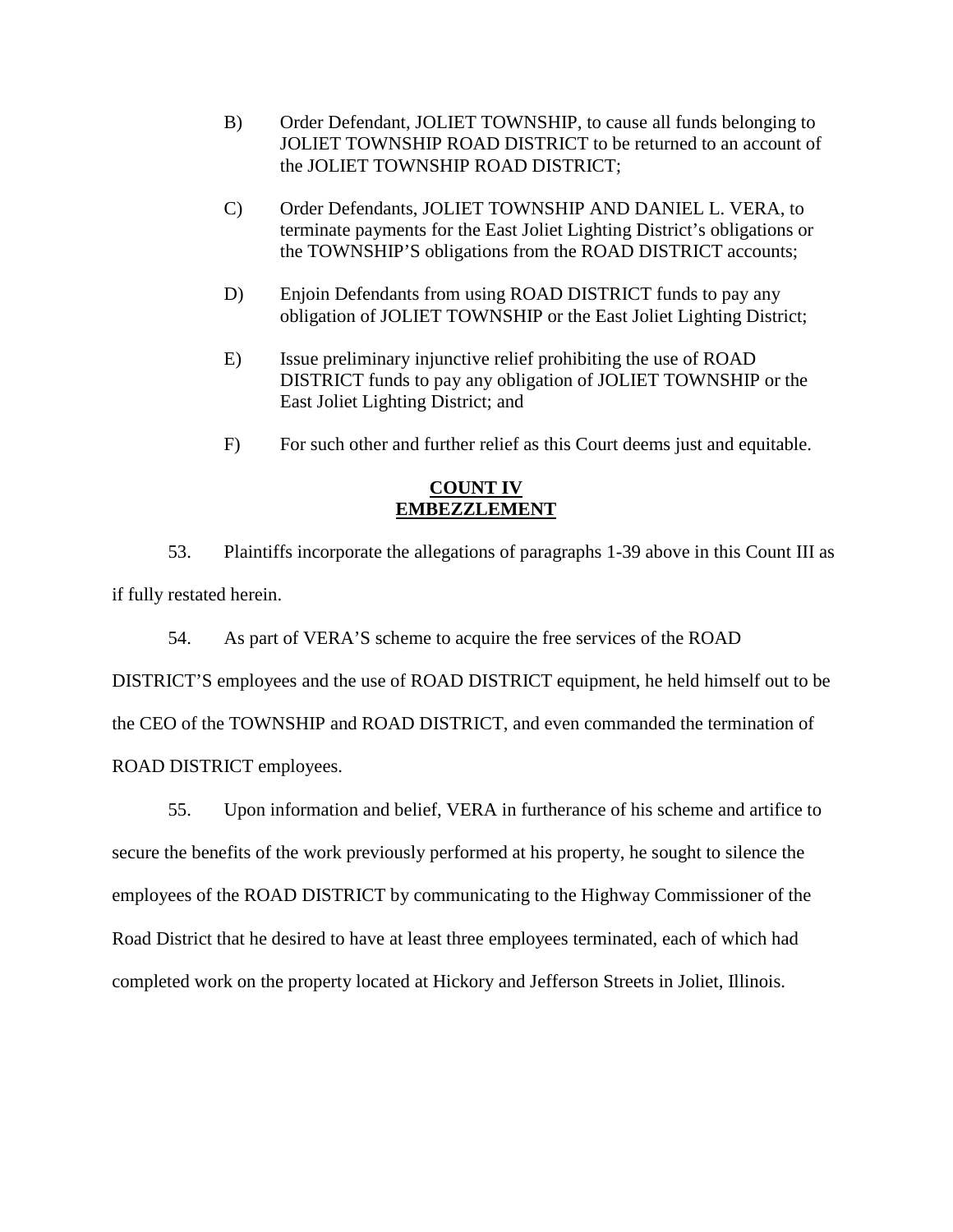- B) Order Defendant, JOLIET TOWNSHIP, to cause all funds belonging to JOLIET TOWNSHIP ROAD DISTRICT to be returned to an account of the JOLIET TOWNSHIP ROAD DISTRICT;
- C) Order Defendants, JOLIET TOWNSHIP AND DANIEL L. VERA, to terminate payments for the East Joliet Lighting District's obligations or the TOWNSHIP'S obligations from the ROAD DISTRICT accounts;
- D) Enjoin Defendants from using ROAD DISTRICT funds to pay any obligation of JOLIET TOWNSHIP or the East Joliet Lighting District;
- E) Issue preliminary injunctive relief prohibiting the use of ROAD DISTRICT funds to pay any obligation of JOLIET TOWNSHIP or the East Joliet Lighting District; and
- F) For such other and further relief as this Court deems just and equitable.

## **COUNT IV EMBEZZLEMENT**

53. Plaintiffs incorporate the allegations of paragraphs 1-39 above in this Count III as if fully restated herein.

54. As part of VERA'S scheme to acquire the free services of the ROAD

DISTRICT'S employees and the use of ROAD DISTRICT equipment, he held himself out to be the CEO of the TOWNSHIP and ROAD DISTRICT, and even commanded the termination of ROAD DISTRICT employees.

55. Upon information and belief, VERA in furtherance of his scheme and artifice to secure the benefits of the work previously performed at his property, he sought to silence the employees of the ROAD DISTRICT by communicating to the Highway Commissioner of the Road District that he desired to have at least three employees terminated, each of which had completed work on the property located at Hickory and Jefferson Streets in Joliet, Illinois.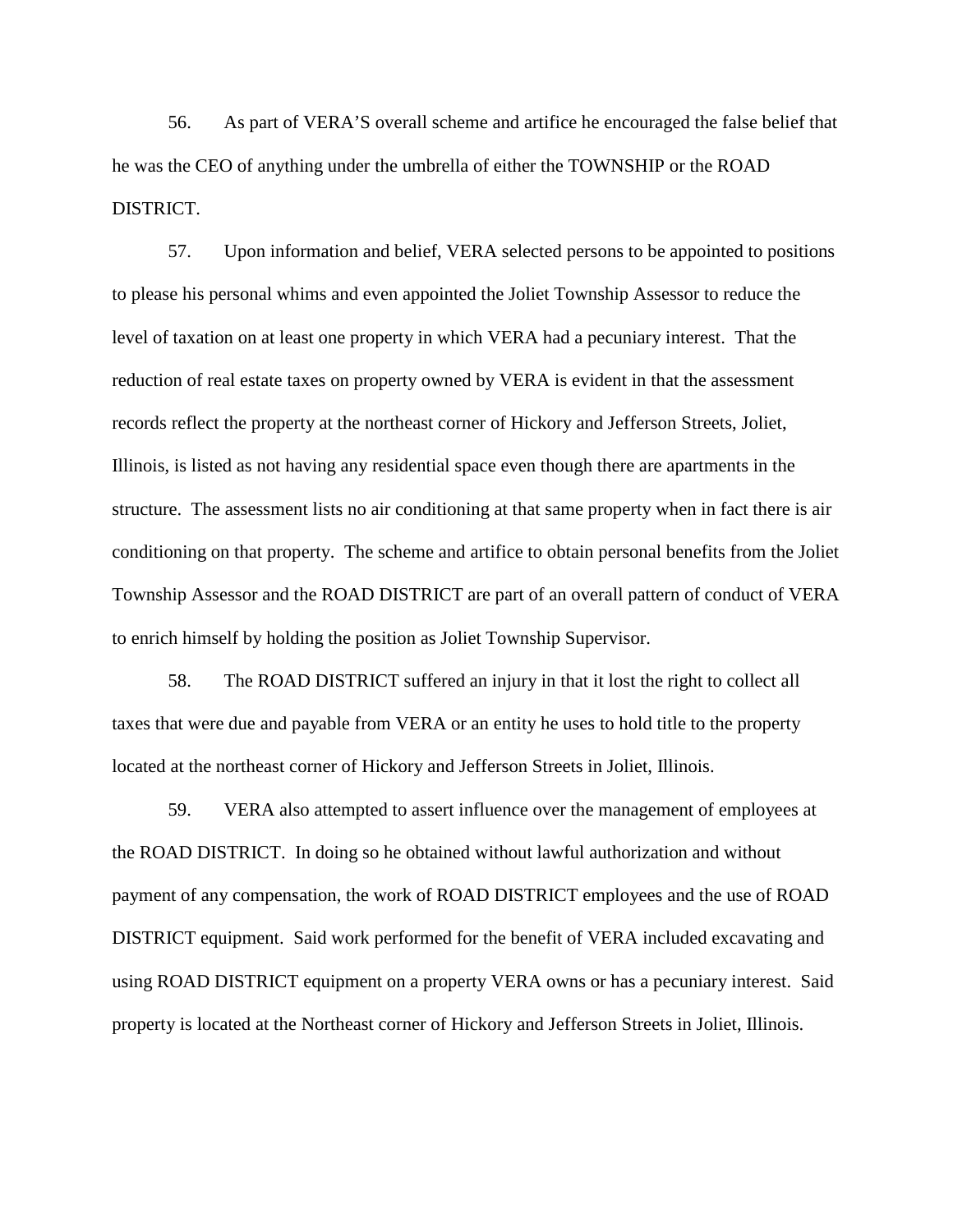56. As part of VERA'S overall scheme and artifice he encouraged the false belief that he was the CEO of anything under the umbrella of either the TOWNSHIP or the ROAD DISTRICT.

57. Upon information and belief, VERA selected persons to be appointed to positions to please his personal whims and even appointed the Joliet Township Assessor to reduce the level of taxation on at least one property in which VERA had a pecuniary interest. That the reduction of real estate taxes on property owned by VERA is evident in that the assessment records reflect the property at the northeast corner of Hickory and Jefferson Streets, Joliet, Illinois, is listed as not having any residential space even though there are apartments in the structure. The assessment lists no air conditioning at that same property when in fact there is air conditioning on that property. The scheme and artifice to obtain personal benefits from the Joliet Township Assessor and the ROAD DISTRICT are part of an overall pattern of conduct of VERA to enrich himself by holding the position as Joliet Township Supervisor.

58. The ROAD DISTRICT suffered an injury in that it lost the right to collect all taxes that were due and payable from VERA or an entity he uses to hold title to the property located at the northeast corner of Hickory and Jefferson Streets in Joliet, Illinois.

59. VERA also attempted to assert influence over the management of employees at the ROAD DISTRICT. In doing so he obtained without lawful authorization and without payment of any compensation, the work of ROAD DISTRICT employees and the use of ROAD DISTRICT equipment. Said work performed for the benefit of VERA included excavating and using ROAD DISTRICT equipment on a property VERA owns or has a pecuniary interest. Said property is located at the Northeast corner of Hickory and Jefferson Streets in Joliet, Illinois.